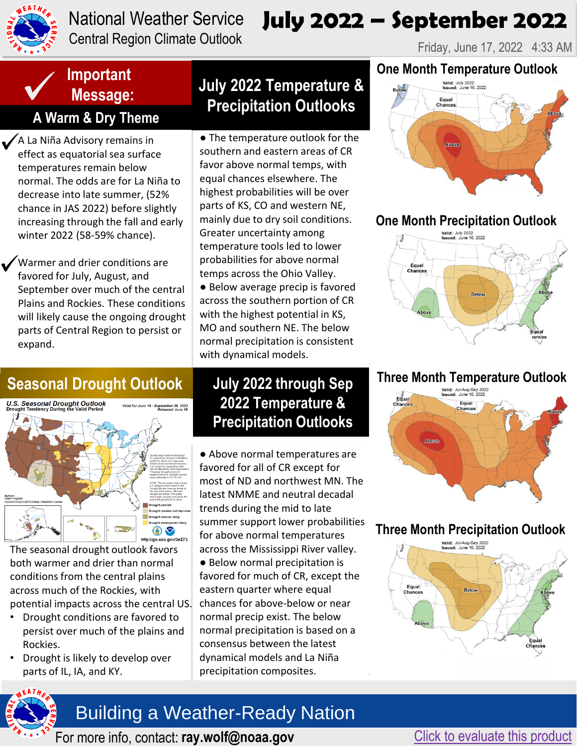

#### National Weather Service Central Region Climate Outlook

# **July 2022 – September 2022**

Friday, June 17, 2022 4:33 AM

## **Important Message:**

## **A Warm & Dry Theme**

A La Niña Advisory remains in effect as equatorial sea surface temperatures remain below normal. The odds are for La Niña to decrease into late summer, (52% chance in JAS 2022) before slightly increasing through the fall and early winter 2022 (58-59% chance).

Warmer and drier conditions are favored for July, August, and September over much of the central Plains and Rockies. These conditions will likely cause the ongoing drought parts of Central Region to persist or expand.

## **Seasonal Drought Outlook**



[The seasonal drought outlook favors](https://www.cpc.ncep.noaa.gov/products/expert_assessment/season_drought.png)  both warmer and drier than normal conditions from the central plains across much of the Rockies, with potential impacts across the central US.

- Drought conditions are favored to persist over much of the plains and Rockies.
- Drought is likely to develop over parts of IL, IA, and KY.

## **July 2022 Temperature & Precipitation Outlooks**

● The temperature outlook for the southern and eastern areas of CR favor above normal temps, with equal chances elsewhere. The highest probabilities will be over parts of KS, CO and western NE, mainly due to dry soil conditions. Greater uncertainty among temperature tools led to lower probabilities for above normal temps across the Ohio Valley. ● Below average precip is favored across the southern portion of CR with the highest potential in KS, MO and southern NE. The below normal precipitation is consistent with dynamical models.

### **July 2022 through Sep 2022 Temperature & Precipitation Outlooks**

● Above normal temperatures are favored for all of CR except for most of ND and northwest MN. The latest NMME and neutral decadal trends during the mid to late summer support lower probabilities for above normal temperatures across the Mississippi River valley. ● Below normal precipitation is favored for much of CR, except the eastern quarter where equal chances for above-below or near normal precip exist. The below normal precipitation is based on a consensus between the latest dynamical models and La Niña precipitation composites.

#### **One Month Temperature Outlook**



#### **[One Month Precipitation Outlook](https://www.cpc.ncep.noaa.gov/products/predictions/long_range/lead14/off14_temp.gif)**



## **[Three Month Temperature Outlook](https://www.cpc.ncep.noaa.gov/products/predictions/long_range/lead14/off14_prcp.gif) Three Month Precipitation Outlook**



#### **[Three Month Precipitation Outlook](https://www.cpc.ncep.noaa.gov/products/predictions/long_range/lead01/off01_temp.gif)**





[For more info, contact:](http://www.weather.gov/gid/fire) [ray.wolf@noaa.gov](https://twitter.com/NWSHastings) [Click to evaluate this product](https://docs.google.com/forms/d/1qaUhf7qPTAecAvhQ5QEB_iFBwqVHYkNzRKlWds2oy_U/edit)